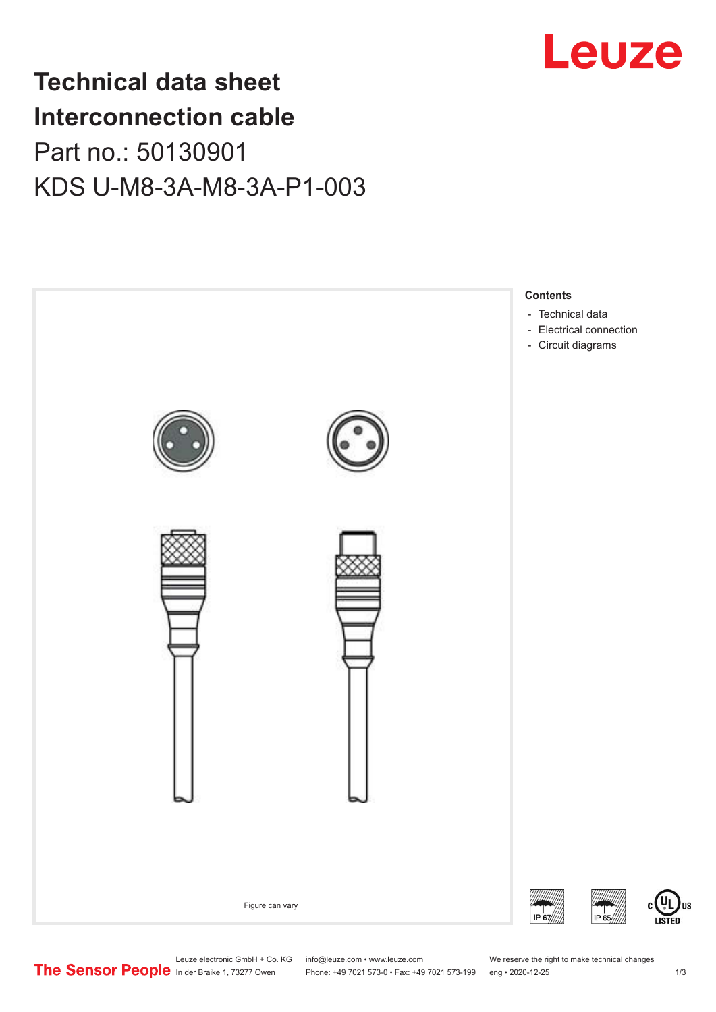

## **Technical data sheet Interconnection cable** Part no.: 50130901 KDS U-M8-3A-M8-3A-P1-003



Leuze electronic GmbH + Co. KG info@leuze.com • www.leuze.com We reserve the right to make technical changes<br>
The Sensor People in der Braike 1, 73277 Owen Phone: +49 7021 573-0 • Fax: +49 7021 573-199 eng • 2020-12-25

Phone: +49 7021 573-0 • Fax: +49 7021 573-199 eng • 2020-12-25 1 2020-12-25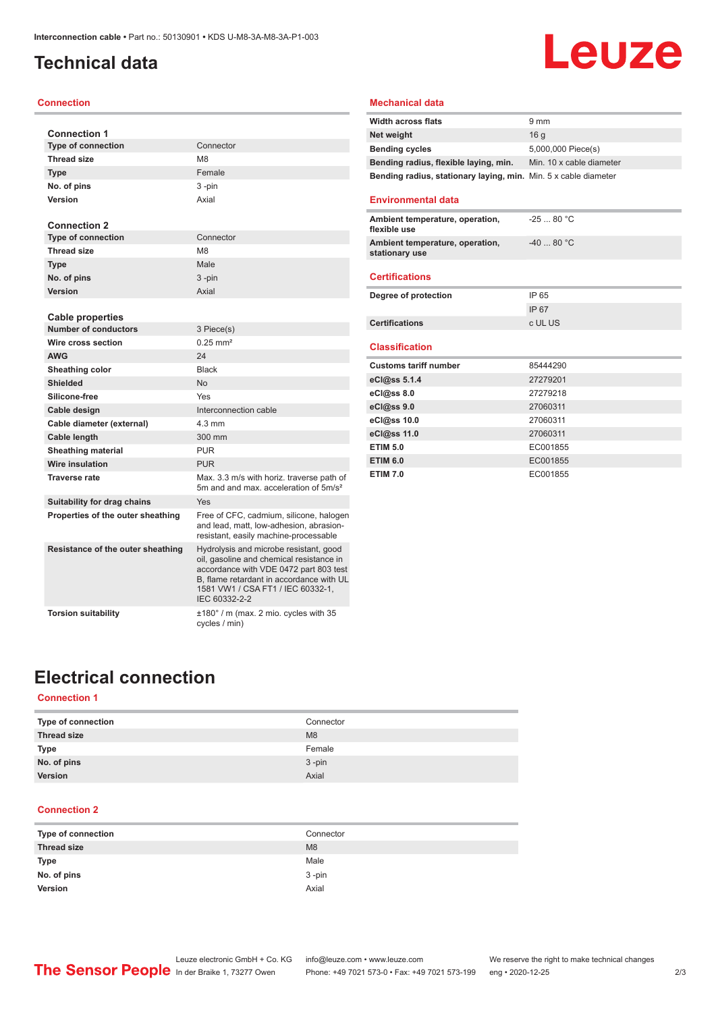## <span id="page-1-0"></span>**Technical data**

#### **Connection**

| <b>Connection 1</b>                                    |                                                                                                                                                                                                                                |
|--------------------------------------------------------|--------------------------------------------------------------------------------------------------------------------------------------------------------------------------------------------------------------------------------|
| <b>Type of connection</b>                              | Connector                                                                                                                                                                                                                      |
| <b>Thread size</b>                                     | M <sub>8</sub>                                                                                                                                                                                                                 |
| <b>Type</b>                                            | Female                                                                                                                                                                                                                         |
| No. of pins                                            | 3-pin                                                                                                                                                                                                                          |
| Version                                                | Axial                                                                                                                                                                                                                          |
|                                                        |                                                                                                                                                                                                                                |
| <b>Connection 2</b>                                    |                                                                                                                                                                                                                                |
| <b>Type of connection</b>                              | Connector                                                                                                                                                                                                                      |
| <b>Thread size</b>                                     | M <sub>8</sub>                                                                                                                                                                                                                 |
| <b>Type</b>                                            | Male                                                                                                                                                                                                                           |
| No. of pins                                            | 3 -pin                                                                                                                                                                                                                         |
| Version                                                | Axial                                                                                                                                                                                                                          |
|                                                        |                                                                                                                                                                                                                                |
| <b>Cable properties</b><br><b>Number of conductors</b> | 3 Piece(s)                                                                                                                                                                                                                     |
| Wire cross section                                     | $0.25$ mm <sup>2</sup>                                                                                                                                                                                                         |
| <b>AWG</b>                                             | 24                                                                                                                                                                                                                             |
| Sheathing color                                        | <b>Black</b>                                                                                                                                                                                                                   |
| Shielded                                               | <b>No</b>                                                                                                                                                                                                                      |
| Silicone-free                                          | Yes                                                                                                                                                                                                                            |
|                                                        | Interconnection cable                                                                                                                                                                                                          |
| Cable design                                           | $4.3 \text{ mm}$                                                                                                                                                                                                               |
| Cable diameter (external)                              |                                                                                                                                                                                                                                |
| Cable length                                           | 300 mm                                                                                                                                                                                                                         |
| <b>Sheathing material</b>                              | <b>PUR</b>                                                                                                                                                                                                                     |
| <b>Wire insulation</b>                                 | <b>PUR</b>                                                                                                                                                                                                                     |
| <b>Traverse rate</b>                                   | Max. 3.3 m/s with horiz. traverse path of<br>5m and and max acceleration of 5m/s <sup>2</sup>                                                                                                                                  |
| Suitability for drag chains                            | Yes                                                                                                                                                                                                                            |
| Properties of the outer sheathing                      | Free of CFC, cadmium, silicone, halogen<br>and lead, matt, low-adhesion, abrasion-<br>resistant, easily machine-processable                                                                                                    |
| Resistance of the outer sheathing                      | Hydrolysis and microbe resistant, good<br>oil, gasoline and chemical resistance in<br>accordance with VDE 0472 part 803 test<br>B. flame retardant in accordance with UL<br>1581 VW1 / CSA FT1 / IEC 60332-1.<br>IEC 60332-2-2 |
| <b>Torsion suitability</b>                             | ±180° / m (max. 2 mio. cycles with 35<br>cycles / min)                                                                                                                                                                         |

## **Leuze**

### **Mechanical data**

| <b>Width across flats</b>                                       | $9 \text{ mm}$           |
|-----------------------------------------------------------------|--------------------------|
| Net weight                                                      | 16 a                     |
| <b>Bending cycles</b>                                           | 5,000,000 Piece(s)       |
| Bending radius, flexible laying, min.                           | Min. 10 x cable diameter |
| Bending radius, stationary laying, min. Min. 5 x cable diameter |                          |

#### **Environmental data**

| Ambient temperature, operation,<br>flexible use   | $-2580 °C$ |
|---------------------------------------------------|------------|
| Ambient temperature, operation,<br>stationary use | $-4080 °C$ |
| <b>Certifications</b>                             |            |
| Degree of protection                              | IP 65      |

| IP 65   |
|---------|
| IP 67   |
| c UL US |
|         |

#### **Classification**

| <b>Customs tariff number</b> | 85444290 |  |
|------------------------------|----------|--|
| eCl@ss 5.1.4                 | 27279201 |  |
| eCl@ss 8.0                   | 27279218 |  |
| eCl@ss 9.0                   | 27060311 |  |
| eCl@ss 10.0                  | 27060311 |  |
| eCl@ss 11.0                  | 27060311 |  |
| <b>ETIM 5.0</b>              | EC001855 |  |
| <b>ETIM 6.0</b>              | EC001855 |  |
| <b>ETIM 7.0</b>              | EC001855 |  |

## **Electrical connection**

### **Connection 1**

| Type of connection | Connector      |
|--------------------|----------------|
| <b>Thread size</b> | M <sub>8</sub> |
| <b>Type</b>        | Female         |
| No. of pins        | $3 - pin$      |
| Version            | Axial          |

### **Connection 2**

| Type of connection | Connector |
|--------------------|-----------|
| <b>Thread size</b> | M8        |
| <b>Type</b>        | Male      |
| No. of pins        | $3 - pin$ |
| Version            | Axial     |
|                    |           |